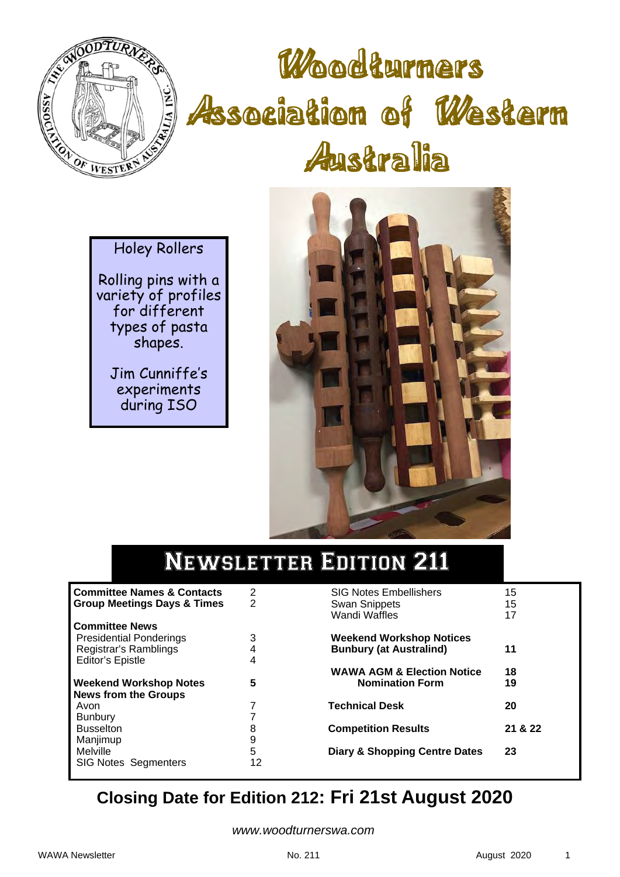

# Woodturners Association of Western Australia

Holey Rollers

Rolling pins with a variety of profiles for different types of pasta shapes.

Jim Cunniffe's experiments during ISO



## Newsletter Edition 211

| <b>Committee Names &amp; Contacts</b>  | 2  | <b>SIG Notes Embellishers</b>            | 15      |
|----------------------------------------|----|------------------------------------------|---------|
| <b>Group Meetings Days &amp; Times</b> | 2  | <b>Swan Snippets</b>                     | 15      |
|                                        |    | <b>Wandi Waffles</b>                     | 17      |
| <b>Committee News</b>                  |    |                                          |         |
| <b>Presidential Ponderings</b>         | 3  | <b>Weekend Workshop Notices</b>          |         |
| Registrar's Ramblings                  |    | <b>Bunbury (at Australind)</b>           | 11      |
| <b>Editor's Epistle</b>                | 4  |                                          |         |
|                                        |    | <b>WAWA AGM &amp; Election Notice</b>    | 18      |
| <b>Weekend Workshop Notes</b>          | 5  | <b>Nomination Form</b>                   | 19      |
| <b>News from the Groups</b>            |    |                                          |         |
| Avon                                   |    | <b>Technical Desk</b>                    | 20      |
| <b>Bunbury</b>                         |    |                                          |         |
| <b>Busselton</b>                       | 8  | <b>Competition Results</b>               | 21 & 22 |
| Manjimup                               | 9  |                                          |         |
| Melville                               | 5  | <b>Diary &amp; Shopping Centre Dates</b> | 23      |
| <b>SIG Notes Segmenters</b>            | 12 |                                          |         |

## **Closing Date for Edition 212: Fri 21st August 2020**

*www.woodturnerswa.com*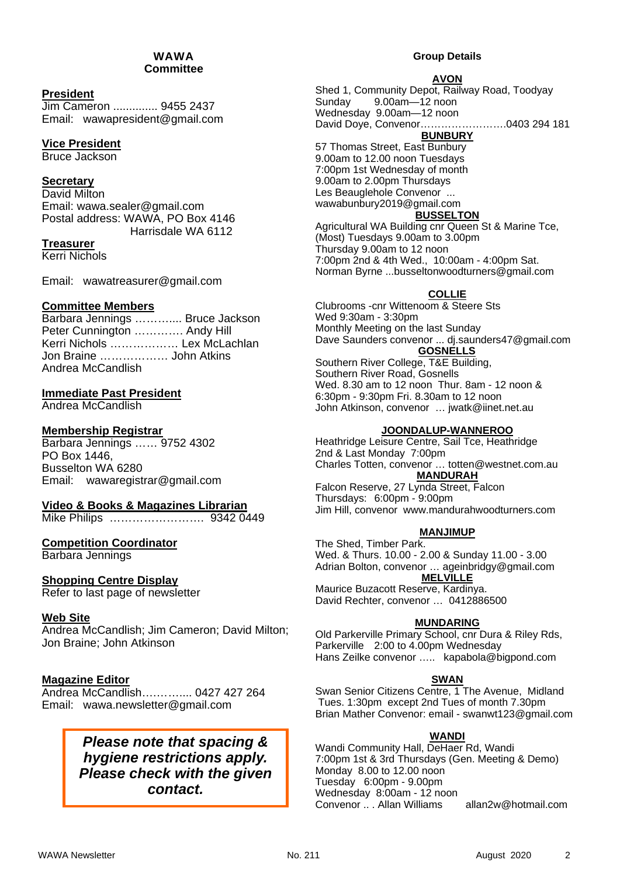#### WAWA **Committee**

#### **President**

Jim Cameron .............. 9455 2437 Email: wawapresident@gmail.com

#### **Vice President**

Bruce Jackson

#### **Secretary**

David Milton Email: wawa.sealer@gmail.com Postal address: WAWA, PO Box 4146 Harrisdale WA 6112

#### **Treasurer**

Kerri Nichols

Email: wawatreasurer@gmail.com

#### **Committee Members**

Barbara Jennings .............. Bruce Jackson Peter Cunnington …………. Andy Hill Kerri Nichols ……………… Lex McLachlan Jon Braine ……………… John Atkins Andrea McCandlish

#### **Immediate Past President**

Andrea McCandlish

#### **Membership Registrar**

Barbara Jennings …… 9752 4302 PO Box 1446, Busselton WA 6280 Email: wawaregistrar@gmail.com

#### **Video & Books & Magazines Librarian**

Mike Philips ……………………. 9342 0449

#### **Competition Coordinator**

Barbara Jennings

#### **Shopping Centre Display**

Refer to last page of newsletter

#### **Web Site**

Andrea McCandlish; Jim Cameron; David Milton; Jon Braine; John Atkinson

#### **Magazine Editor**

Andrea McCandlish….…….... 0427 427 264 Email: wawa.newsletter@gmail.com

#### *Please note that spacing & hygiene restrictions apply. Please check with the given contact.*

#### **Group Details**

#### **AVON**

Shed 1, Community Depot, Railway Road, Toodyay Sunday 9.00am—12 noon Wednesday 9.00am—12 noon David Doye, Convenor…………………….0403 294 181 **BUNBURY** 

57 Thomas Street, East Bunbury 9.00am to 12.00 noon Tuesdays 7:00pm 1st Wednesday of month 9.00am to 2.00pm Thursdays Les Beauglehole Convenor ... wawabunbury2019@gmail.com

#### **BUSSELTON**

Agricultural WA Building cnr Queen St & Marine Tce, (Most) Tuesdays 9.00am to 3.00pm Thursday 9.00am to 12 noon 7:00pm 2nd & 4th Wed., 10:00am - 4:00pm Sat. Norman Byrne ...busseltonwoodturners@gmail.com

#### **COLLIE**

Clubrooms -cnr Wittenoom & Steere Sts Wed 9:30am - 3:30pm Monthly Meeting on the last Sunday Dave Saunders convenor ... dj.saunders47@gmail.com **GOSNELLS**  Southern River College, T&E Building,

Southern River Road, Gosnells Wed. 8.30 am to 12 noon Thur. 8am - 12 noon & 6:30pm - 9:30pm Fri. 8.30am to 12 noon John Atkinson, convenor … jwatk@iinet.net.au

#### **JOONDALUP-WANNEROO**

Heathridge Leisure Centre, Sail Tce, Heathridge 2nd & Last Monday 7:00pm Charles Totten, convenor … totten@westnet.com.au **MANDURAH** 

Falcon Reserve, 27 Lynda Street, Falcon Thursdays: 6:00pm - 9:00pm Jim Hill, convenor www.mandurahwoodturners.com

#### **MANJIMUP**

The Shed, Timber Park. Wed. & Thurs. 10.00 - 2.00 & Sunday 11.00 - 3.00 Adrian Bolton, convenor … ageinbridgy@gmail.com **MELVILLE**  Maurice Buzacott Reserve, Kardinya.

David Rechter, convenor … 0412886500

#### **MUNDARING**

Old Parkerville Primary School, cnr Dura & Riley Rds, Parkerville 2:00 to 4.00pm Wednesday Hans Zeilke convenor ….. kapabola@bigpond.com

#### **SWAN**

Swan Senior Citizens Centre, 1 The Avenue, Midland Tues. 1:30pm except 2nd Tues of month 7.30pm Brian Mather Convenor: email - swanwt123@gmail.com

#### **WANDI**

Wandi Community Hall, DeHaer Rd, Wandi 7:00pm 1st & 3rd Thursdays (Gen. Meeting & Demo) Monday 8.00 to 12.00 noon Tuesday 6:00pm - 9.00pm Wednesday 8:00am - 12 noon Convenor .. . Allan Williams allan2w@hotmail.com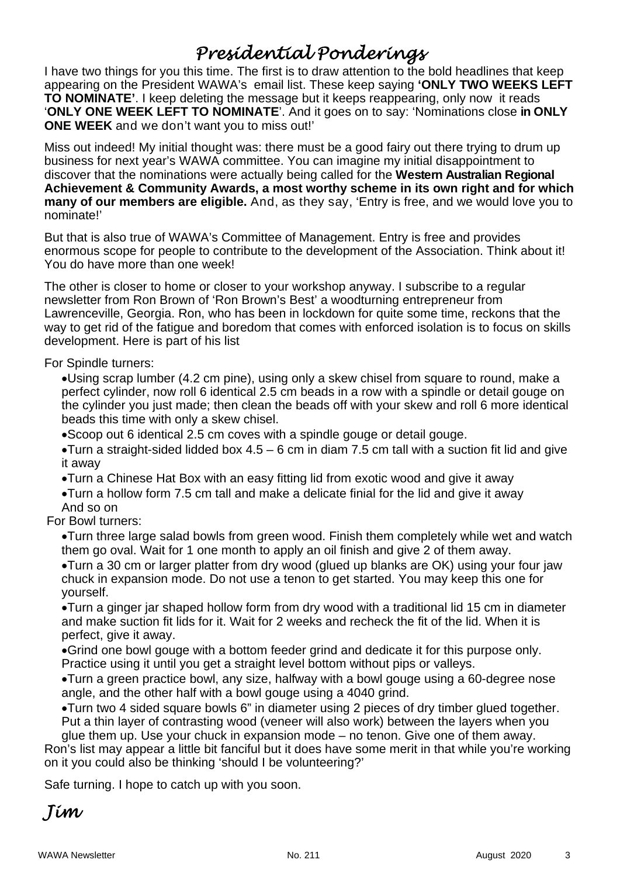## *Presidential Ponderings*

I have two things for you this time. The first is to draw attention to the bold headlines that keep appearing on the President WAWA's email list. These keep saying **'ONLY TWO WEEKS LEFT TO NOMINATE'**. I keep deleting the message but it keeps reappearing, only now it reads '**ONLY ONE WEEK LEFT TO NOMINATE**'. And it goes on to say: 'Nominations close **in ONLY ONE WEEK** and we don't want you to miss out!'

Miss out indeed! My initial thought was: there must be a good fairy out there trying to drum up business for next year's WAWA committee. You can imagine my initial disappointment to discover that the nominations were actually being called for the **Western Australian Regional Achievement & Community Awards, a most worthy scheme in its own right and for which many of our members are eligible.** And, as they say, 'Entry is free, and we would love you to nominate!'

But that is also true of WAWA's Committee of Management. Entry is free and provides enormous scope for people to contribute to the development of the Association. Think about it! You do have more than one week!

The other is closer to home or closer to your workshop anyway. I subscribe to a regular newsletter from Ron Brown of 'Ron Brown's Best' a woodturning entrepreneur from Lawrenceville, Georgia. Ron, who has been in lockdown for quite some time, reckons that the way to get rid of the fatigue and boredom that comes with enforced isolation is to focus on skills development. Here is part of his list

For Spindle turners:

Using scrap lumber (4.2 cm pine), using only a skew chisel from square to round, make a perfect cylinder, now roll 6 identical 2.5 cm beads in a row with a spindle or detail gouge on the cylinder you just made; then clean the beads off with your skew and roll 6 more identical beads this time with only a skew chisel.

Scoop out 6 identical 2.5 cm coves with a spindle gouge or detail gouge.

 $\bullet$ Turn a straight-sided lidded box 4.5 – 6 cm in diam 7.5 cm tall with a suction fit lid and give it away

Turn a Chinese Hat Box with an easy fitting lid from exotic wood and give it away

Turn a hollow form 7.5 cm tall and make a delicate finial for the lid and give it away And so on

For Bowl turners:

Turn three large salad bowls from green wood. Finish them completely while wet and watch them go oval. Wait for 1 one month to apply an oil finish and give 2 of them away.

Turn a 30 cm or larger platter from dry wood (glued up blanks are OK) using your four jaw chuck in expansion mode. Do not use a tenon to get started. You may keep this one for yourself.

Turn a ginger jar shaped hollow form from dry wood with a traditional lid 15 cm in diameter and make suction fit lids for it. Wait for 2 weeks and recheck the fit of the lid. When it is perfect, give it away.

Grind one bowl gouge with a bottom feeder grind and dedicate it for this purpose only. Practice using it until you get a straight level bottom without pips or valleys.

Turn a green practice bowl, any size, halfway with a bowl gouge using a 60-degree nose angle, and the other half with a bowl gouge using a 4040 grind.

Turn two 4 sided square bowls 6" in diameter using 2 pieces of dry timber glued together. Put a thin layer of contrasting wood (veneer will also work) between the layers when you

glue them up. Use your chuck in expansion mode – no tenon. Give one of them away. Ron's list may appear a little bit fanciful but it does have some merit in that while you're working on it you could also be thinking 'should I be volunteering?'

Safe turning. I hope to catch up with you soon.

*Jim*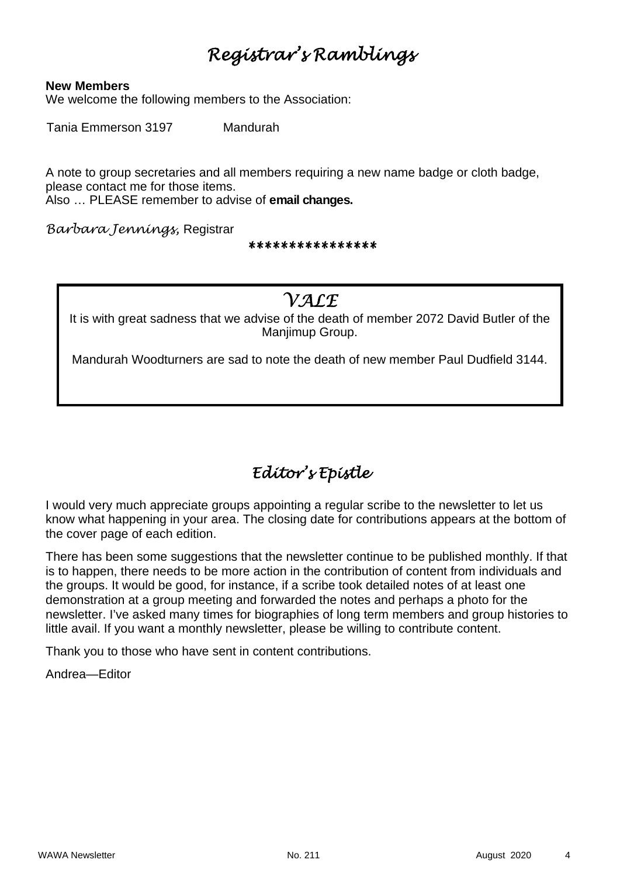## *Registrar's Ramblings*

#### **New Members**

We welcome the following members to the Association:

Tania Emmerson 3197 Mandurah

A note to group secretaries and all members requiring a new name badge or cloth badge, please contact me for those items.

Also … PLEASE remember to advise of **email changes.** 

*Barbara Jennings,* Registrar

*\*\*\*\*\*\*\*\*\*\*\*\*\*\*\*\**

#### *VALE*

It is with great sadness that we advise of the death of member 2072 David Butler of the Manjimup Group.

Mandurah Woodturners are sad to note the death of new member Paul Dudfield 3144.

## *Editor's Epistle*

I would very much appreciate groups appointing a regular scribe to the newsletter to let us know what happening in your area. The closing date for contributions appears at the bottom of the cover page of each edition.

There has been some suggestions that the newsletter continue to be published monthly. If that is to happen, there needs to be more action in the contribution of content from individuals and the groups. It would be good, for instance, if a scribe took detailed notes of at least one demonstration at a group meeting and forwarded the notes and perhaps a photo for the newsletter. I've asked many times for biographies of long term members and group histories to little avail. If you want a monthly newsletter, please be willing to contribute content.

Thank you to those who have sent in content contributions.

Andrea—Editor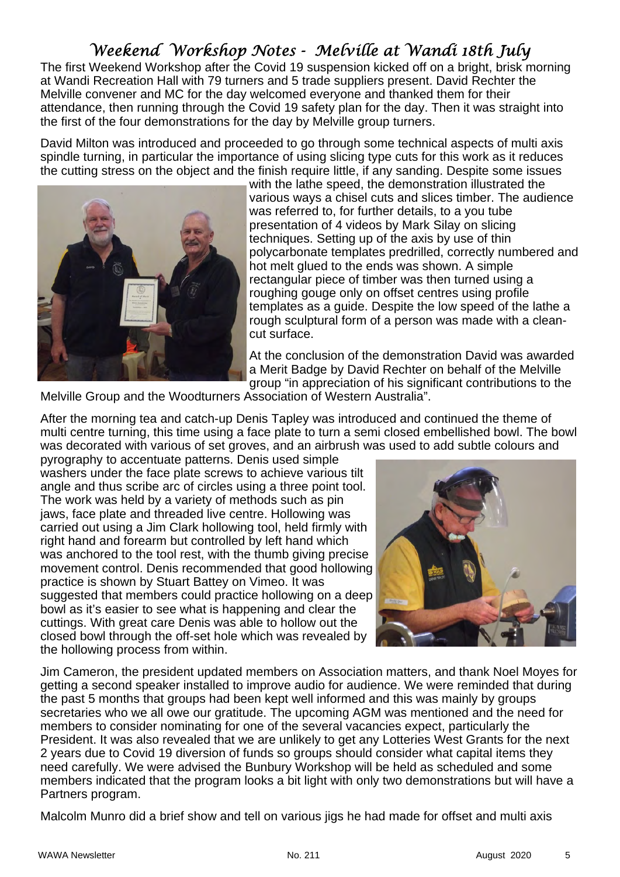## *Weekend Workshop Notes - Melville at Wandi 18th July*

The first Weekend Workshop after the Covid 19 suspension kicked off on a bright, brisk morning at Wandi Recreation Hall with 79 turners and 5 trade suppliers present. David Rechter the Melville convener and MC for the day welcomed everyone and thanked them for their attendance, then running through the Covid 19 safety plan for the day. Then it was straight into the first of the four demonstrations for the day by Melville group turners.

David Milton was introduced and proceeded to go through some technical aspects of multi axis spindle turning, in particular the importance of using slicing type cuts for this work as it reduces the cutting stress on the object and the finish require little, if any sanding. Despite some issues



with the lathe speed, the demonstration illustrated the various ways a chisel cuts and slices timber. The audience was referred to, for further details, to a you tube presentation of 4 videos by Mark Silay on slicing techniques. Setting up of the axis by use of thin polycarbonate templates predrilled, correctly numbered and hot melt glued to the ends was shown. A simple rectangular piece of timber was then turned using a roughing gouge only on offset centres using profile templates as a guide. Despite the low speed of the lathe a rough sculptural form of a person was made with a cleancut surface.

At the conclusion of the demonstration David was awarded a Merit Badge by David Rechter on behalf of the Melville group "in appreciation of his significant contributions to the

Melville Group and the Woodturners Association of Western Australia".

After the morning tea and catch-up Denis Tapley was introduced and continued the theme of multi centre turning, this time using a face plate to turn a semi closed embellished bowl. The bowl was decorated with various of set groves, and an airbrush was used to add subtle colours and

pyrography to accentuate patterns. Denis used simple washers under the face plate screws to achieve various tilt angle and thus scribe arc of circles using a three point tool. The work was held by a variety of methods such as pin jaws, face plate and threaded live centre. Hollowing was carried out using a Jim Clark hollowing tool, held firmly with right hand and forearm but controlled by left hand which was anchored to the tool rest, with the thumb giving precise movement control. Denis recommended that good hollowing practice is shown by Stuart Battey on Vimeo. It was suggested that members could practice hollowing on a deep bowl as it's easier to see what is happening and clear the cuttings. With great care Denis was able to hollow out the closed bowl through the off-set hole which was revealed by the hollowing process from within.



Jim Cameron, the president updated members on Association matters, and thank Noel Moyes for getting a second speaker installed to improve audio for audience. We were reminded that during the past 5 months that groups had been kept well informed and this was mainly by groups secretaries who we all owe our gratitude. The upcoming AGM was mentioned and the need for members to consider nominating for one of the several vacancies expect, particularly the President. It was also revealed that we are unlikely to get any Lotteries West Grants for the next 2 years due to Covid 19 diversion of funds so groups should consider what capital items they need carefully. We were advised the Bunbury Workshop will be held as scheduled and some members indicated that the program looks a bit light with only two demonstrations but will have a Partners program.

Malcolm Munro did a brief show and tell on various jigs he had made for offset and multi axis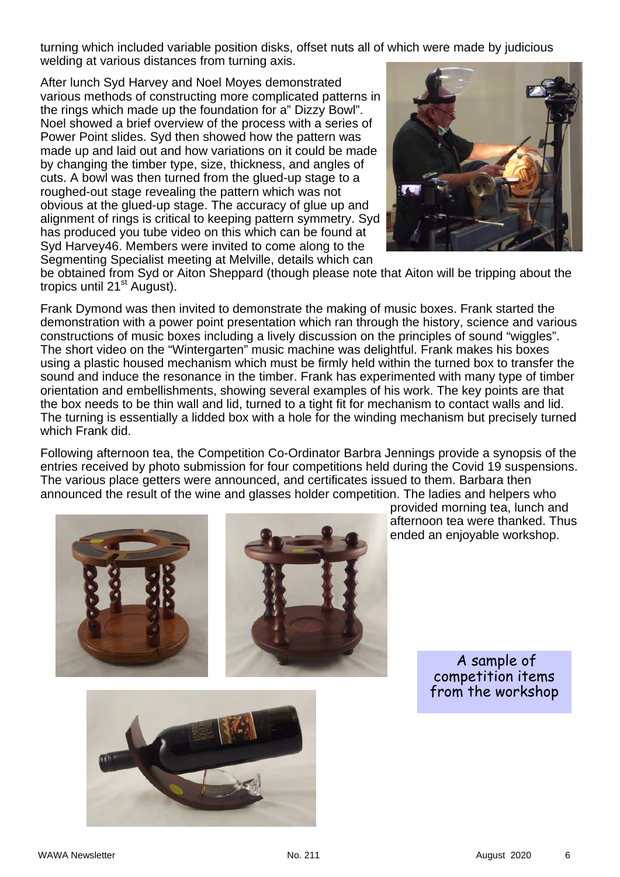turning which included variable position disks, offset nuts all of which were made by judicious welding at various distances from turning axis.

After lunch Syd Harvey and Noel Moyes demonstrated various methods of constructing more complicated patterns in the rings which made up the foundation for a" Dizzy Bowl". Noel showed a brief overview of the process with a series of Power Point slides. Syd then showed how the pattern was made up and laid out and how variations on it could be made by changing the timber type, size, thickness, and angles of cuts. A bowl was then turned from the glued-up stage to a roughed-out stage revealing the pattern which was not obvious at the glued-up stage. The accuracy of glue up and alignment of rings is critical to keeping pattern symmetry. Syd has produced you tube video on this which can be found at Syd Harvey46. Members were invited to come along to the Segmenting Specialist meeting at Melville, details which can



be obtained from Syd or Aiton Sheppard (though please note that Aiton will be tripping about the tropics until  $21<sup>st</sup>$  August).

Frank Dymond was then invited to demonstrate the making of music boxes. Frank started the demonstration with a power point presentation which ran through the history, science and various constructions of music boxes including a lively discussion on the principles of sound "wiggles". The short video on the "Wintergarten" music machine was delightful. Frank makes his boxes using a plastic housed mechanism which must be firmly held within the turned box to transfer the sound and induce the resonance in the timber. Frank has experimented with many type of timber orientation and embellishments, showing several examples of his work. The key points are that the box needs to be thin wall and lid, turned to a tight fit for mechanism to contact walls and lid. The turning is essentially a lidded box with a hole for the winding mechanism but precisely turned which Frank did.

Following afternoon tea, the Competition Co-Ordinator Barbra Jennings provide a synopsis of the entries received by photo submission for four competitions held during the Covid 19 suspensions. The various place getters were announced, and certificates issued to them. Barbara then announced the result of the wine and glasses holder competition. The ladies and helpers who



provided morning tea, lunch and afternoon tea were thanked. Thus ended an enjoyable workshop.

> A sample of competition items from the workshop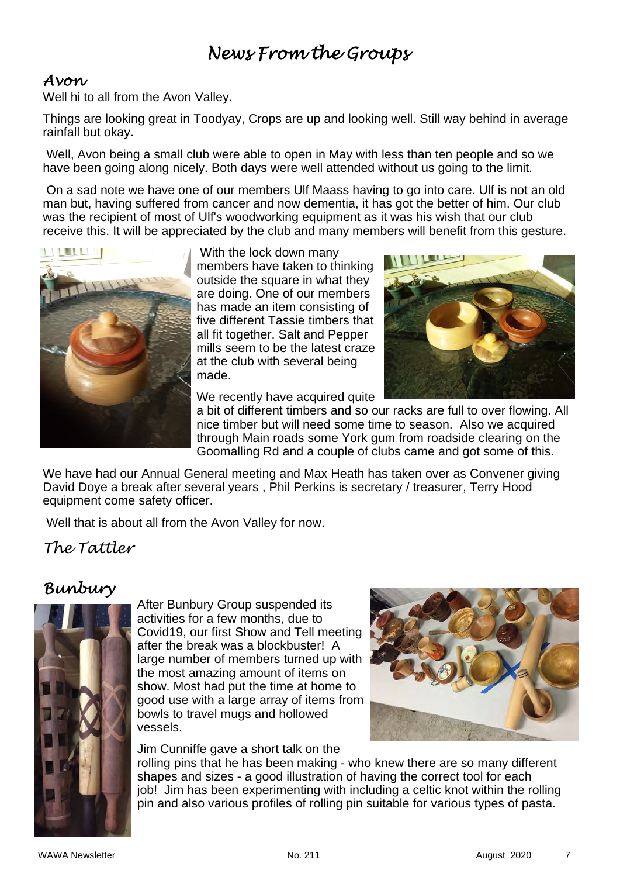## *News From the Groups*

#### *Avon*

Well hi to all from the Avon Valley.

Things are looking great in Toodyay, Crops are up and looking well. Still way behind in average rainfall but okay.

 Well, Avon being a small club were able to open in May with less than ten people and so we have been going along nicely. Both days were well attended without us going to the limit.

 On a sad note we have one of our members Ulf Maass having to go into care. Ulf is not an old man but, having suffered from cancer and now dementia, it has got the better of him. Our club was the recipient of most of Ulf's woodworking equipment as it was his wish that our club receive this. It will be appreciated by the club and many members will benefit from this gesture.



 With the lock down many members have taken to thinking outside the square in what they are doing. One of our members has made an item consisting of five different Tassie timbers that all fit together. Salt and Pepper mills seem to be the latest craze at the club with several being made.

We recently have acquired quite



a bit of different timbers and so our racks are full to over flowing. All nice timber but will need some time to season. Also we acquired through Main roads some York gum from roadside clearing on the Goomalling Rd and a couple of clubs came and got some of this.

We have had our Annual General meeting and Max Heath has taken over as Convener giving David Doye a break after several years , Phil Perkins is secretary / treasurer, Terry Hood equipment come safety officer.

Well that is about all from the Avon Valley for now.

#### *The Tattler*

### *Bunbury*



After Bunbury Group suspended its activities for a few months, due to Covid19, our first Show and Tell meeting after the break was a blockbuster! A large number of members turned up with the most amazing amount of items on show. Most had put the time at home to good use with a large array of items from bowls to travel mugs and hollowed vessels.

Jim Cunniffe gave a short talk on the



rolling pins that he has been making - who knew there are so many different shapes and sizes - a good illustration of having the correct tool for each job! Jim has been experimenting with including a celtic knot within the rolling pin and also various profiles of rolling pin suitable for various types of pasta.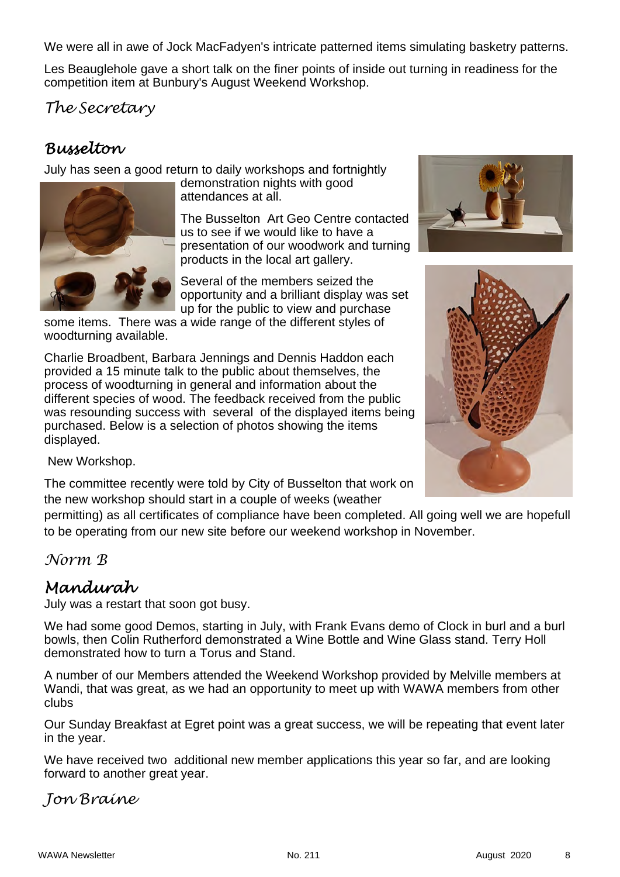We were all in awe of Jock MacFadyen's intricate patterned items simulating basketry patterns.

Les Beauglehole gave a short talk on the finer points of inside out turning in readiness for the competition item at Bunbury's August Weekend Workshop.

*The Secretary* 

## *Busselton*

July has seen a good return to daily workshops and fortnightly



demonstration nights with good attendances at all.

The Busselton Art Geo Centre contacted us to see if we would like to have a presentation of our woodwork and turning products in the local art gallery.

Several of the members seized the opportunity and a brilliant display was set up for the public to view and purchase

some items. There was a wide range of the different styles of woodturning available.

Charlie Broadbent, Barbara Jennings and Dennis Haddon each provided a 15 minute talk to the public about themselves, the process of woodturning in general and information about the different species of wood. The feedback received from the public was resounding success with several of the displayed items being purchased. Below is a selection of photos showing the items displayed.





New Workshop.

The committee recently were told by City of Busselton that work on the new workshop should start in a couple of weeks (weather

permitting) as all certificates of compliance have been completed. All going well we are hopefull to be operating from our new site before our weekend workshop in November.

*Norm B* 

## *Mandurah*

July was a restart that soon got busy.

We had some good Demos, starting in July, with Frank Evans demo of Clock in burl and a burl bowls, then Colin Rutherford demonstrated a Wine Bottle and Wine Glass stand. Terry Holl demonstrated how to turn a Torus and Stand.

A number of our Members attended the Weekend Workshop provided by Melville members at Wandi, that was great, as we had an opportunity to meet up with WAWA members from other clubs

Our Sunday Breakfast at Egret point was a great success, we will be repeating that event later in the year.

We have received two additional new member applications this year so far, and are looking forward to another great year.

#### *Jon Braine*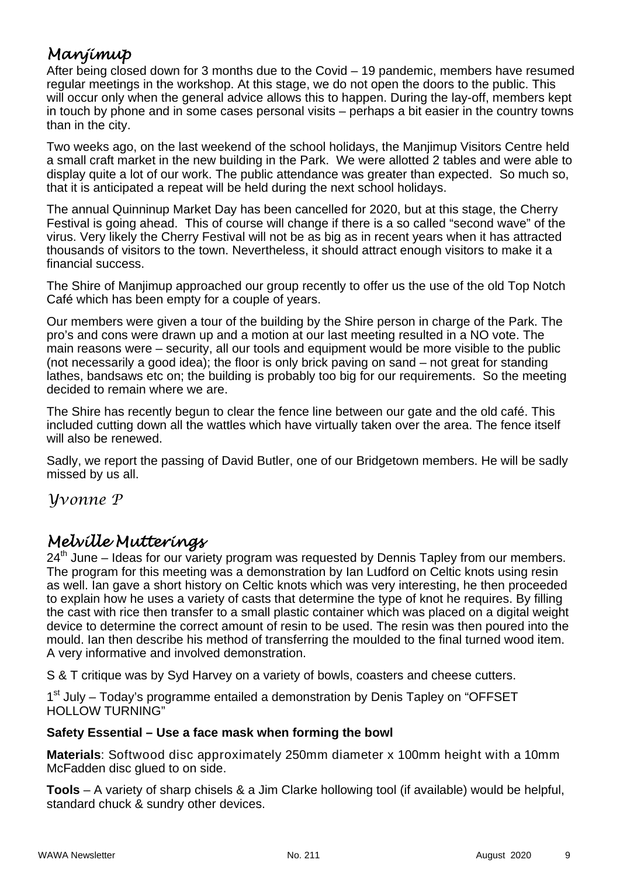## *Manjimup*

After being closed down for 3 months due to the Covid – 19 pandemic, members have resumed regular meetings in the workshop. At this stage, we do not open the doors to the public. This will occur only when the general advice allows this to happen. During the lay-off, members kept in touch by phone and in some cases personal visits – perhaps a bit easier in the country towns than in the city.

Two weeks ago, on the last weekend of the school holidays, the Manjimup Visitors Centre held a small craft market in the new building in the Park. We were allotted 2 tables and were able to display quite a lot of our work. The public attendance was greater than expected. So much so, that it is anticipated a repeat will be held during the next school holidays.

The annual Quinninup Market Day has been cancelled for 2020, but at this stage, the Cherry Festival is going ahead. This of course will change if there is a so called "second wave" of the virus. Very likely the Cherry Festival will not be as big as in recent years when it has attracted thousands of visitors to the town. Nevertheless, it should attract enough visitors to make it a financial success.

The Shire of Manjimup approached our group recently to offer us the use of the old Top Notch Café which has been empty for a couple of years.

Our members were given a tour of the building by the Shire person in charge of the Park. The pro's and cons were drawn up and a motion at our last meeting resulted in a NO vote. The main reasons were – security, all our tools and equipment would be more visible to the public (not necessarily a good idea); the floor is only brick paving on sand – not great for standing lathes, bandsaws etc on; the building is probably too big for our requirements. So the meeting decided to remain where we are.

The Shire has recently begun to clear the fence line between our gate and the old café. This included cutting down all the wattles which have virtually taken over the area. The fence itself will also be renewed.

Sadly, we report the passing of David Butler, one of our Bridgetown members. He will be sadly missed by us all.

*Yvonne P* 

### *Melville Mutterings*

 $24<sup>th</sup>$  June – Ideas for our variety program was requested by Dennis Tapley from our members. The program for this meeting was a demonstration by Ian Ludford on Celtic knots using resin as well. Ian gave a short history on Celtic knots which was very interesting, he then proceeded to explain how he uses a variety of casts that determine the type of knot he requires. By filling the cast with rice then transfer to a small plastic container which was placed on a digital weight device to determine the correct amount of resin to be used. The resin was then poured into the mould. Ian then describe his method of transferring the moulded to the final turned wood item. A very informative and involved demonstration.

S & T critique was by Syd Harvey on a variety of bowls, coasters and cheese cutters.

1<sup>st</sup> July – Today's programme entailed a demonstration by Denis Tapley on "OFFSET HOLLOW TURNING"

#### **Safety Essential – Use a face mask when forming the bowl**

**Materials**: Softwood disc approximately 250mm diameter x 100mm height with a 10mm McFadden disc glued to on side.

**Tools** – A variety of sharp chisels & a Jim Clarke hollowing tool (if available) would be helpful, standard chuck & sundry other devices.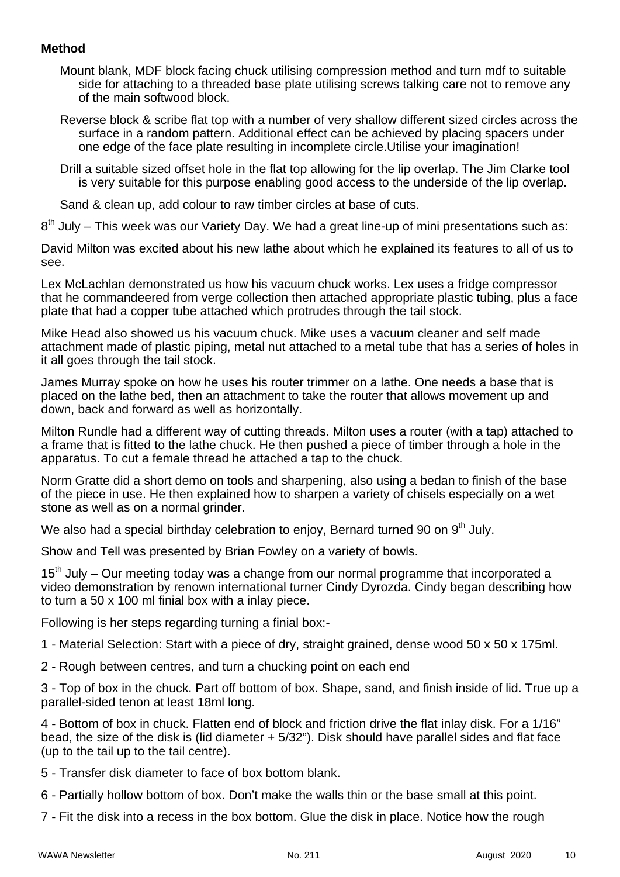#### **Method**

- Mount blank, MDF block facing chuck utilising compression method and turn mdf to suitable side for attaching to a threaded base plate utilising screws talking care not to remove any of the main softwood block.
- Reverse block & scribe flat top with a number of very shallow different sized circles across the surface in a random pattern. Additional effect can be achieved by placing spacers under one edge of the face plate resulting in incomplete circle.Utilise your imagination!
- Drill a suitable sized offset hole in the flat top allowing for the lip overlap. The Jim Clarke tool is very suitable for this purpose enabling good access to the underside of the lip overlap.

Sand & clean up, add colour to raw timber circles at base of cuts.

 $8<sup>th</sup>$  July – This week was our Variety Day. We had a great line-up of mini presentations such as:

David Milton was excited about his new lathe about which he explained its features to all of us to see.

Lex McLachlan demonstrated us how his vacuum chuck works. Lex uses a fridge compressor that he commandeered from verge collection then attached appropriate plastic tubing, plus a face plate that had a copper tube attached which protrudes through the tail stock.

Mike Head also showed us his vacuum chuck. Mike uses a vacuum cleaner and self made attachment made of plastic piping, metal nut attached to a metal tube that has a series of holes in it all goes through the tail stock.

James Murray spoke on how he uses his router trimmer on a lathe. One needs a base that is placed on the lathe bed, then an attachment to take the router that allows movement up and down, back and forward as well as horizontally.

Milton Rundle had a different way of cutting threads. Milton uses a router (with a tap) attached to a frame that is fitted to the lathe chuck. He then pushed a piece of timber through a hole in the apparatus. To cut a female thread he attached a tap to the chuck.

Norm Gratte did a short demo on tools and sharpening, also using a bedan to finish of the base of the piece in use. He then explained how to sharpen a variety of chisels especially on a wet stone as well as on a normal grinder.

We also had a special birthday celebration to enjoy, Bernard turned 90 on  $9<sup>th</sup>$  July.

Show and Tell was presented by Brian Fowley on a variety of bowls.

15<sup>th</sup> July – Our meeting today was a change from our normal programme that incorporated a video demonstration by renown international turner Cindy Dyrozda. Cindy began describing how to turn a 50 x 100 ml finial box with a inlay piece.

Following is her steps regarding turning a finial box:-

1 - Material Selection: Start with a piece of dry, straight grained, dense wood 50 x 50 x 175ml.

2 - Rough between centres, and turn a chucking point on each end

3 - Top of box in the chuck. Part off bottom of box. Shape, sand, and finish inside of lid. True up a parallel-sided tenon at least 18ml long.

4 - Bottom of box in chuck. Flatten end of block and friction drive the flat inlay disk. For a 1/16" bead, the size of the disk is (lid diameter + 5/32"). Disk should have parallel sides and flat face (up to the tail up to the tail centre).

- 5 Transfer disk diameter to face of box bottom blank.
- 6 Partially hollow bottom of box. Don't make the walls thin or the base small at this point.
- 7 Fit the disk into a recess in the box bottom. Glue the disk in place. Notice how the rough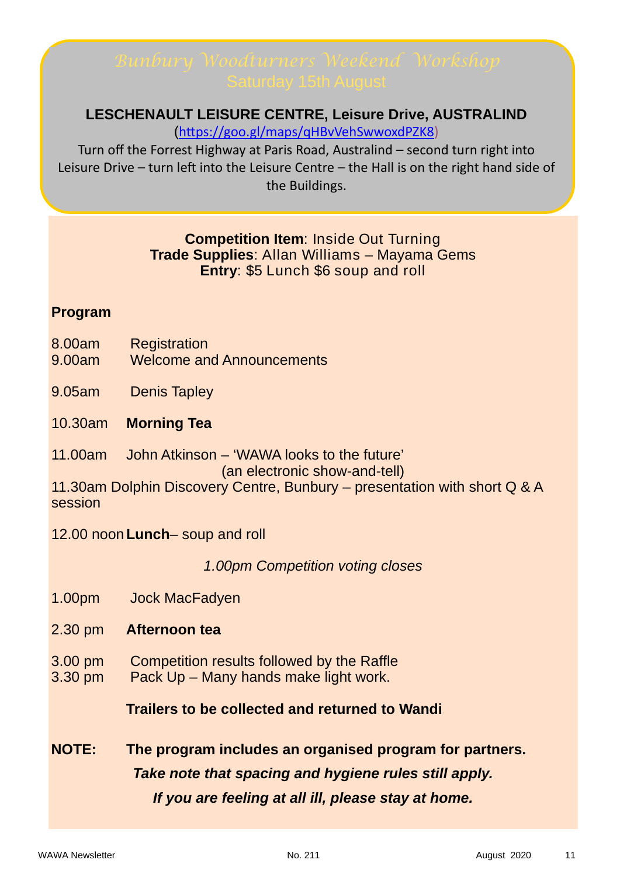#### **LESCHENAULT LEISURE CENTRE, Leisure Drive, AUSTRALIND**

(https://goo.gl/maps/qHBvVehSwwoxdPZK8)

Turn off the Forrest Highway at Paris Road, Australind – second turn right into Leisure Drive – turn left into the Leisure Centre – the Hall is on the right hand side of the Buildings.

#### **Competition Item**: Inside Out Turning **Trade Supplies**: Allan Williams – Mayama Gems **Entry**: \$5 Lunch \$6 soup and roll

#### **Program**

- 8.00am Registration
- 9.00am Welcome and Announcements
- 9.05am Denis Tapley
- 10.30am **Morning Tea**
- 11.00am John Atkinson 'WAWA looks to the future'

(an electronic show-and-tell)

11.30am Dolphin Discovery Centre, Bunbury – presentation with short Q & A session

12.00 noon **Lunch**– soup and roll

*1.00pm Competition voting closes*

- 1.00pm Jock MacFadyen
- 2.30 pm **Afternoon tea**
- 3.00 pm Competition results followed by the Raffle
- 3.30 pm Pack Up Many hands make light work.

#### **Trailers to be collected and returned to Wandi**

**NOTE: The program includes an organised program for partners.**  *Take note that spacing and hygiene rules still apply. If you are feeling at all ill, please stay at home.*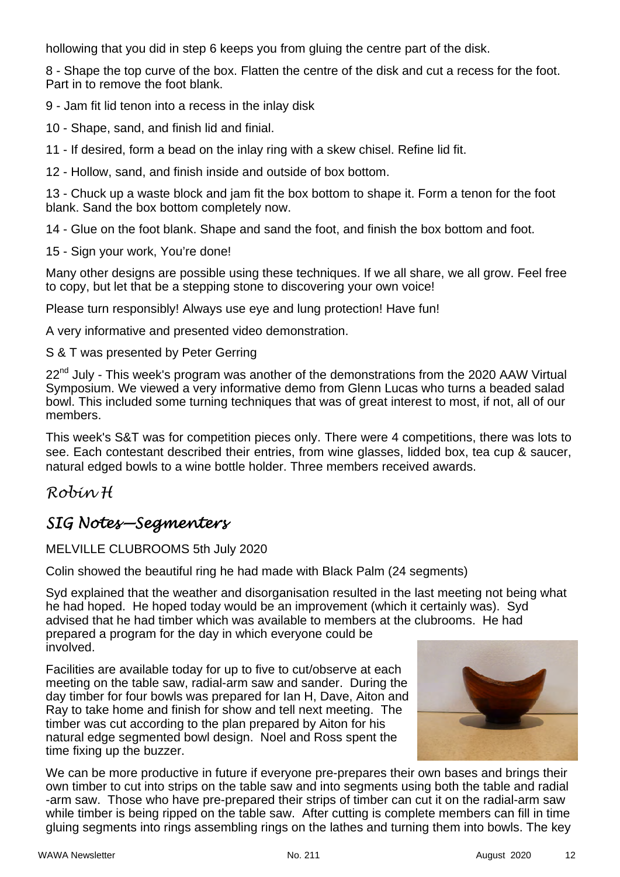hollowing that you did in step 6 keeps you from gluing the centre part of the disk.

8 - Shape the top curve of the box. Flatten the centre of the disk and cut a recess for the foot. Part in to remove the foot blank.

9 - Jam fit lid tenon into a recess in the inlay disk

10 - Shape, sand, and finish lid and finial.

11 - If desired, form a bead on the inlay ring with a skew chisel. Refine lid fit.

12 - Hollow, sand, and finish inside and outside of box bottom.

13 - Chuck up a waste block and jam fit the box bottom to shape it. Form a tenon for the foot blank. Sand the box bottom completely now.

14 - Glue on the foot blank. Shape and sand the foot, and finish the box bottom and foot.

15 - Sign your work, You're done!

Many other designs are possible using these techniques. If we all share, we all grow. Feel free to copy, but let that be a stepping stone to discovering your own voice!

Please turn responsibly! Always use eye and lung protection! Have fun!

A very informative and presented video demonstration.

S & T was presented by Peter Gerring

22<sup>nd</sup> July - This week's program was another of the demonstrations from the 2020 AAW Virtual Symposium. We viewed a very informative demo from Glenn Lucas who turns a beaded salad bowl. This included some turning techniques that was of great interest to most, if not, all of our members.

This week's S&T was for competition pieces only. There were 4 competitions, there was lots to see. Each contestant described their entries, from wine glasses, lidded box, tea cup & saucer, natural edged bowls to a wine bottle holder. Three members received awards.

#### *Robin H*

### *SIG Notes—Segmenters*

#### MELVILLE CLUBROOMS 5th July 2020

Colin showed the beautiful ring he had made with Black Palm (24 segments)

Syd explained that the weather and disorganisation resulted in the last meeting not being what he had hoped. He hoped today would be an improvement (which it certainly was). Syd advised that he had timber which was available to members at the clubrooms. He had prepared a program for the day in which everyone could be involved.

Facilities are available today for up to five to cut/observe at each meeting on the table saw, radial-arm saw and sander. During the day timber for four bowls was prepared for Ian H, Dave, Aiton and Ray to take home and finish for show and tell next meeting. The timber was cut according to the plan prepared by Aiton for his natural edge segmented bowl design. Noel and Ross spent the time fixing up the buzzer.



We can be more productive in future if everyone pre-prepares their own bases and brings their own timber to cut into strips on the table saw and into segments using both the table and radial -arm saw. Those who have pre-prepared their strips of timber can cut it on the radial-arm saw while timber is being ripped on the table saw. After cutting is complete members can fill in time gluing segments into rings assembling rings on the lathes and turning them into bowls. The key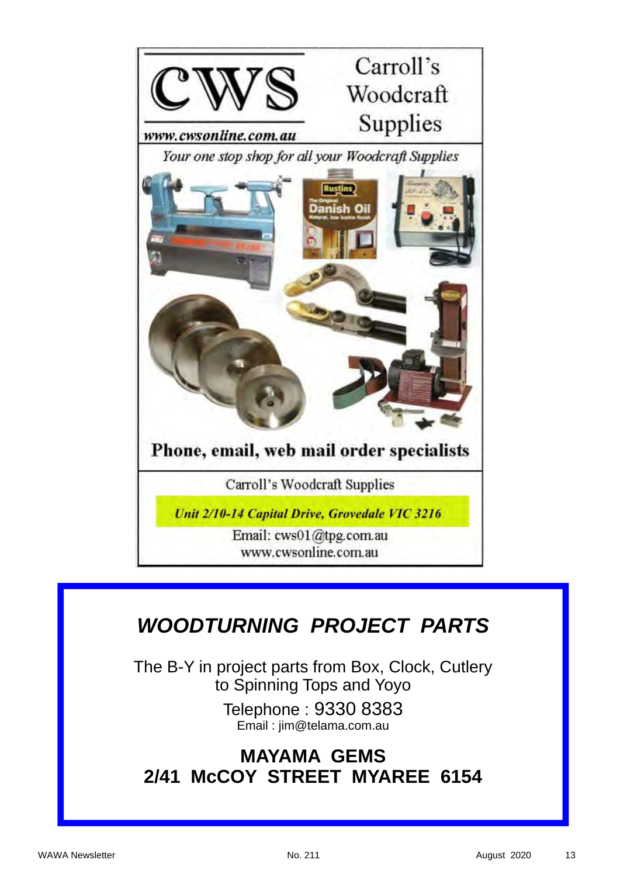

## *WOODTURNING PROJECT PARTS*

The B-Y in project parts from Box, Clock, Cutlery to Spinning Tops and Yoyo

> Telephone : 9330 8383 Email : jim@telama.com.au

## **MAYAMA GEMS 2/41 McCOY STREET MYAREE 6154**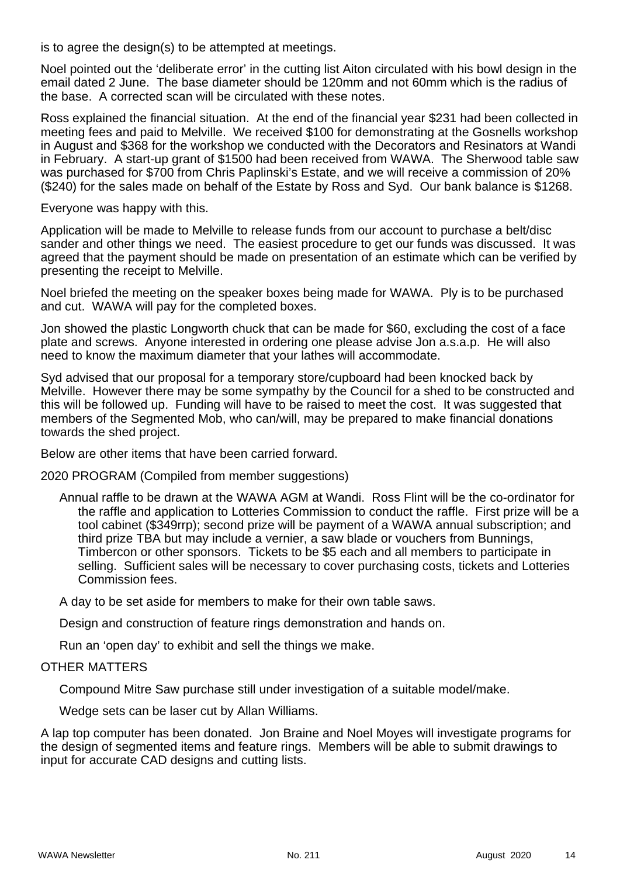is to agree the design(s) to be attempted at meetings.

Noel pointed out the 'deliberate error' in the cutting list Aiton circulated with his bowl design in the email dated 2 June. The base diameter should be 120mm and not 60mm which is the radius of the base. A corrected scan will be circulated with these notes.

Ross explained the financial situation. At the end of the financial year \$231 had been collected in meeting fees and paid to Melville. We received \$100 for demonstrating at the Gosnells workshop in August and \$368 for the workshop we conducted with the Decorators and Resinators at Wandi in February. A start-up grant of \$1500 had been received from WAWA. The Sherwood table saw was purchased for \$700 from Chris Paplinski's Estate, and we will receive a commission of 20% (\$240) for the sales made on behalf of the Estate by Ross and Syd. Our bank balance is \$1268.

Everyone was happy with this.

Application will be made to Melville to release funds from our account to purchase a belt/disc sander and other things we need. The easiest procedure to get our funds was discussed. It was agreed that the payment should be made on presentation of an estimate which can be verified by presenting the receipt to Melville.

Noel briefed the meeting on the speaker boxes being made for WAWA. Ply is to be purchased and cut. WAWA will pay for the completed boxes.

Jon showed the plastic Longworth chuck that can be made for \$60, excluding the cost of a face plate and screws. Anyone interested in ordering one please advise Jon a.s.a.p. He will also need to know the maximum diameter that your lathes will accommodate.

Syd advised that our proposal for a temporary store/cupboard had been knocked back by Melville. However there may be some sympathy by the Council for a shed to be constructed and this will be followed up. Funding will have to be raised to meet the cost. It was suggested that members of the Segmented Mob, who can/will, may be prepared to make financial donations towards the shed project.

Below are other items that have been carried forward.

2020 PROGRAM (Compiled from member suggestions)

Annual raffle to be drawn at the WAWA AGM at Wandi. Ross Flint will be the co-ordinator for the raffle and application to Lotteries Commission to conduct the raffle. First prize will be a tool cabinet (\$349rrp); second prize will be payment of a WAWA annual subscription; and third prize TBA but may include a vernier, a saw blade or vouchers from Bunnings, Timbercon or other sponsors. Tickets to be \$5 each and all members to participate in selling. Sufficient sales will be necessary to cover purchasing costs, tickets and Lotteries Commission fees.

A day to be set aside for members to make for their own table saws.

Design and construction of feature rings demonstration and hands on.

Run an 'open day' to exhibit and sell the things we make.

#### OTHER MATTERS

Compound Mitre Saw purchase still under investigation of a suitable model/make.

Wedge sets can be laser cut by Allan Williams.

A lap top computer has been donated. Jon Braine and Noel Moyes will investigate programs for the design of segmented items and feature rings. Members will be able to submit drawings to input for accurate CAD designs and cutting lists.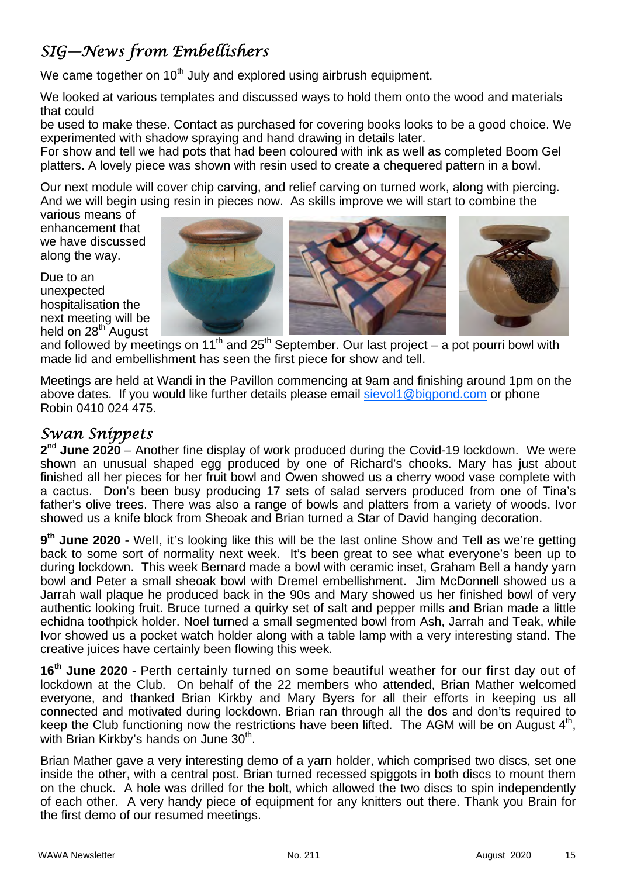## *SIG—News from Embellishers*

We came together on  $10<sup>th</sup>$  July and explored using airbrush equipment.

We looked at various templates and discussed ways to hold them onto the wood and materials that could

be used to make these. Contact as purchased for covering books looks to be a good choice. We experimented with shadow spraying and hand drawing in details later.

For show and tell we had pots that had been coloured with ink as well as completed Boom Gel platters. A lovely piece was shown with resin used to create a chequered pattern in a bowl.

Our next module will cover chip carving, and relief carving on turned work, along with piercing. And we will begin using resin in pieces now. As skills improve we will start to combine the

various means of enhancement that we have discussed along the way.

Due to an unexpected hospitalisation the next meeting will be held on  $28<sup>th</sup>$  August





and followed by meetings on 11<sup>th</sup> and 25<sup>th</sup> September. Our last project – a pot pourri bowl with made lid and embellishment has seen the first piece for show and tell.

Meetings are held at Wandi in the Pavillon commencing at 9am and finishing around 1pm on the above dates. If you would like further details please email sievol1@bigpond.com or phone Robin 0410 024 475.

#### *Swan Snippets*

**2**nd **June 2020** – Another fine display of work produced during the Covid-19 lockdown. We were shown an unusual shaped egg produced by one of Richard's chooks. Mary has just about finished all her pieces for her fruit bowl and Owen showed us a cherry wood vase complete with a cactus. Don's been busy producing 17 sets of salad servers produced from one of Tina's father's olive trees. There was also a range of bowls and platters from a variety of woods. Ivor showed us a knife block from Sheoak and Brian turned a Star of David hanging decoration.

**9th June 2020 -** Well, it's looking like this will be the last online Show and Tell as we're getting back to some sort of normality next week. It's been great to see what everyone's been up to during lockdown. This week Bernard made a bowl with ceramic inset, Graham Bell a handy yarn bowl and Peter a small sheoak bowl with Dremel embellishment. Jim McDonnell showed us a Jarrah wall plaque he produced back in the 90s and Mary showed us her finished bowl of very authentic looking fruit. Bruce turned a quirky set of salt and pepper mills and Brian made a little echidna toothpick holder. Noel turned a small segmented bowl from Ash, Jarrah and Teak, while Ivor showed us a pocket watch holder along with a table lamp with a very interesting stand. The creative juices have certainly been flowing this week.

**16th June 2020 -** Perth certainly turned on some beautiful weather for our first day out of lockdown at the Club. On behalf of the 22 members who attended, Brian Mather welcomed everyone, and thanked Brian Kirkby and Mary Byers for all their efforts in keeping us all connected and motivated during lockdown. Brian ran through all the dos and don'ts required to keep the Club functioning now the restrictions have been lifted. The AGM will be on August 4<sup>th</sup>, with Brian Kirkby's hands on June 30<sup>th</sup>.

Brian Mather gave a very interesting demo of a yarn holder, which comprised two discs, set one inside the other, with a central post. Brian turned recessed spiggots in both discs to mount them on the chuck. A hole was drilled for the bolt, which allowed the two discs to spin independently of each other. A very handy piece of equipment for any knitters out there. Thank you Brain for the first demo of our resumed meetings.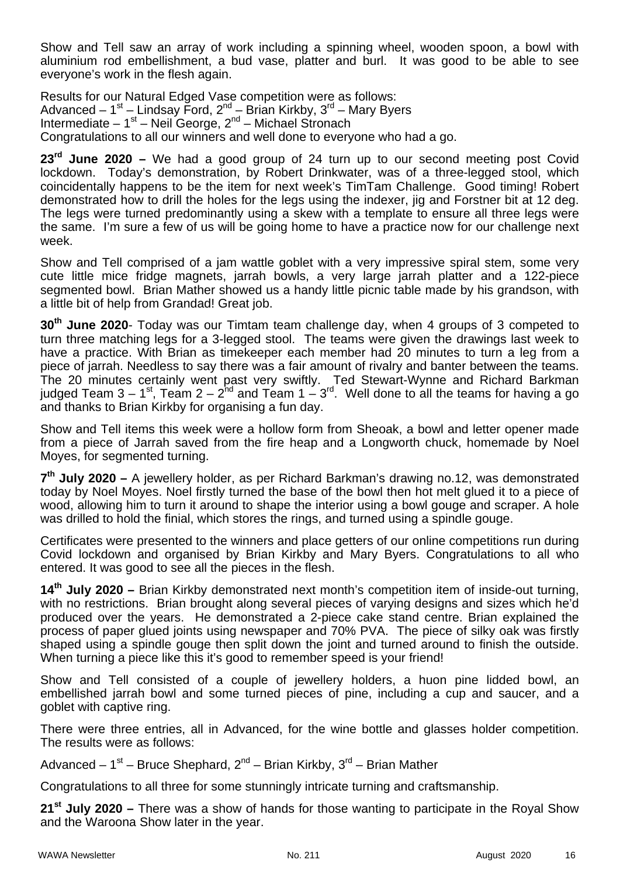Show and Tell saw an array of work including a spinning wheel, wooden spoon, a bowl with aluminium rod embellishment, a bud vase, platter and burl. It was good to be able to see everyone's work in the flesh again.

Results for our Natural Edged Vase competition were as follows: Advanced –  $1^{st}$  – Lindsay Ford,  $2^{nd}$  – Brian Kirkby,  $3^{rd}$  – Mary Byers Intermediate – 1<sup>st</sup> – Neil George, 2<sup>nd</sup> – Michael Stronach Congratulations to all our winners and well done to everyone who had a go.

**23rd June 2020 –** We had a good group of 24 turn up to our second meeting post Covid lockdown. Today's demonstration, by Robert Drinkwater, was of a three-legged stool, which coincidentally happens to be the item for next week's TimTam Challenge. Good timing! Robert demonstrated how to drill the holes for the legs using the indexer, jig and Forstner bit at 12 deg. The legs were turned predominantly using a skew with a template to ensure all three legs were the same. I'm sure a few of us will be going home to have a practice now for our challenge next week.

Show and Tell comprised of a jam wattle goblet with a very impressive spiral stem, some very cute little mice fridge magnets, jarrah bowls, a very large jarrah platter and a 122-piece segmented bowl. Brian Mather showed us a handy little picnic table made by his grandson, with a little bit of help from Grandad! Great job.

**30th June 2020**- Today was our Timtam team challenge day, when 4 groups of 3 competed to turn three matching legs for a 3-legged stool. The teams were given the drawings last week to have a practice. With Brian as timekeeper each member had 20 minutes to turn a leg from a piece of jarrah. Needless to say there was a fair amount of rivalry and banter between the teams. The 20 minutes certainly went past very swiftly. Ted Stewart-Wynne and Richard Barkman judged Team 3 – 1<sup>st</sup>, Team 2 – 2<sup>hd</sup> and Team 1 – 3<sup>rd</sup>. Well done to all the teams for having a go and thanks to Brian Kirkby for organising a fun day.

Show and Tell items this week were a hollow form from Sheoak, a bowl and letter opener made from a piece of Jarrah saved from the fire heap and a Longworth chuck, homemade by Noel Moyes, for segmented turning.

**7th July 2020 –** A jewellery holder, as per Richard Barkman's drawing no.12, was demonstrated today by Noel Moyes. Noel firstly turned the base of the bowl then hot melt glued it to a piece of wood, allowing him to turn it around to shape the interior using a bowl gouge and scraper. A hole was drilled to hold the finial, which stores the rings, and turned using a spindle gouge.

Certificates were presented to the winners and place getters of our online competitions run during Covid lockdown and organised by Brian Kirkby and Mary Byers. Congratulations to all who entered. It was good to see all the pieces in the flesh.

**14th July 2020 –** Brian Kirkby demonstrated next month's competition item of inside-out turning, with no restrictions. Brian brought along several pieces of varying designs and sizes which he'd produced over the years. He demonstrated a 2-piece cake stand centre. Brian explained the process of paper glued joints using newspaper and 70% PVA. The piece of silky oak was firstly shaped using a spindle gouge then split down the joint and turned around to finish the outside. When turning a piece like this it's good to remember speed is your friend!

Show and Tell consisted of a couple of jewellery holders, a huon pine lidded bowl, an embellished jarrah bowl and some turned pieces of pine, including a cup and saucer, and a goblet with captive ring.

There were three entries, all in Advanced, for the wine bottle and glasses holder competition. The results were as follows:

Advanced –  $1^{st}$  – Bruce Shephard,  $2^{nd}$  – Brian Kirkby,  $3^{rd}$  – Brian Mather

Congratulations to all three for some stunningly intricate turning and craftsmanship.

**21st July 2020 –** There was a show of hands for those wanting to participate in the Royal Show and the Waroona Show later in the year.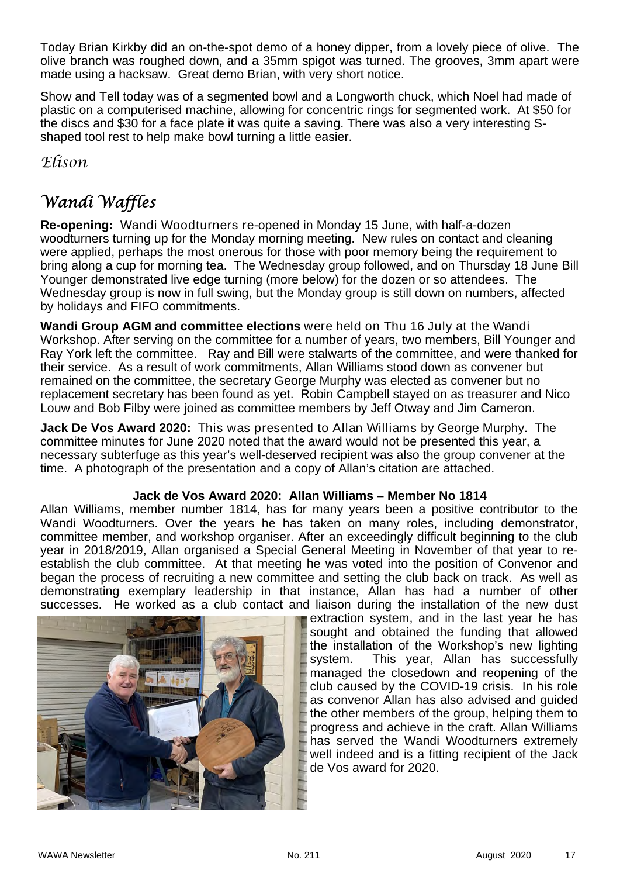Today Brian Kirkby did an on-the-spot demo of a honey dipper, from a lovely piece of olive. The olive branch was roughed down, and a 35mm spigot was turned. The grooves, 3mm apart were made using a hacksaw. Great demo Brian, with very short notice.

Show and Tell today was of a segmented bowl and a Longworth chuck, which Noel had made of plastic on a computerised machine, allowing for concentric rings for segmented work. At \$50 for the discs and \$30 for a face plate it was quite a saving. There was also a very interesting Sshaped tool rest to help make bowl turning a little easier.

*Elison* 

## *Wandi Waffles*

**Re-opening:** Wandi Woodturners re-opened in Monday 15 June, with half-a-dozen woodturners turning up for the Monday morning meeting. New rules on contact and cleaning were applied, perhaps the most onerous for those with poor memory being the requirement to bring along a cup for morning tea. The Wednesday group followed, and on Thursday 18 June Bill Younger demonstrated live edge turning (more below) for the dozen or so attendees. The Wednesday group is now in full swing, but the Monday group is still down on numbers, affected by holidays and FIFO commitments.

**Wandi Group AGM and committee elections** were held on Thu 16 July at the Wandi Workshop. After serving on the committee for a number of years, two members, Bill Younger and Ray York left the committee. Ray and Bill were stalwarts of the committee, and were thanked for their service. As a result of work commitments, Allan Williams stood down as convener but remained on the committee, the secretary George Murphy was elected as convener but no replacement secretary has been found as yet. Robin Campbell stayed on as treasurer and Nico Louw and Bob Filby were joined as committee members by Jeff Otway and Jim Cameron.

**Jack De Vos Award 2020:** This was presented to Allan Williams by George Murphy. The committee minutes for June 2020 noted that the award would not be presented this year, a necessary subterfuge as this year's well-deserved recipient was also the group convener at the time. A photograph of the presentation and a copy of Allan's citation are attached.

#### **Jack de Vos Award 2020: Allan Williams – Member No 1814**

Allan Williams, member number 1814, has for many years been a positive contributor to the Wandi Woodturners. Over the years he has taken on many roles, including demonstrator, committee member, and workshop organiser. After an exceedingly difficult beginning to the club year in 2018/2019, Allan organised a Special General Meeting in November of that year to reestablish the club committee. At that meeting he was voted into the position of Convenor and began the process of recruiting a new committee and setting the club back on track. As well as demonstrating exemplary leadership in that instance, Allan has had a number of other successes. He worked as a club contact and liaison during the installation of the new dust



extraction system, and in the last year he has sought and obtained the funding that allowed the installation of the Workshop's new lighting system. This year, Allan has successfully managed the closedown and reopening of the club caused by the COVID-19 crisis. In his role as convenor Allan has also advised and guided the other members of the group, helping them to progress and achieve in the craft. Allan Williams has served the Wandi Woodturners extremely well indeed and is a fitting recipient of the Jack de Vos award for 2020.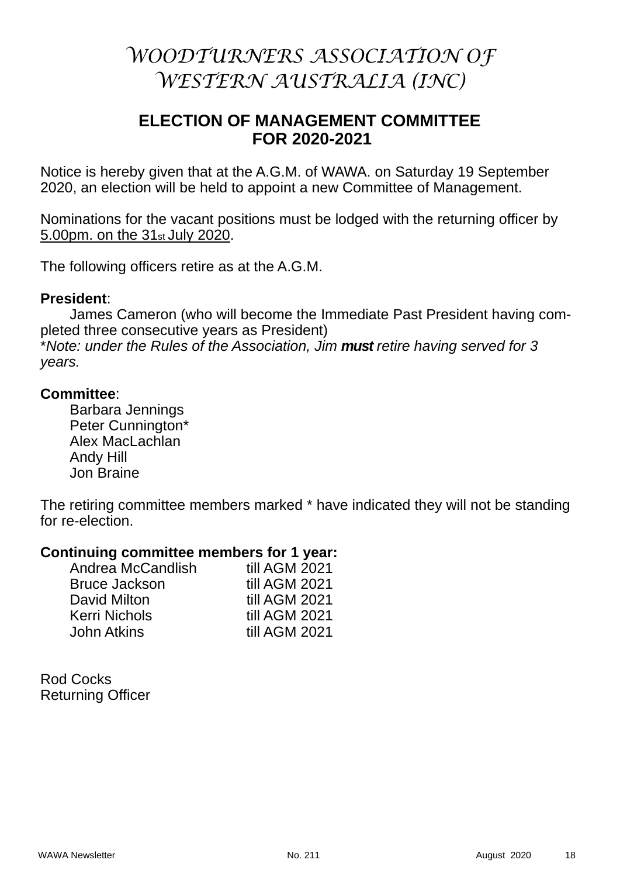## *WOODTURNERS ASSOCIATION OF WESTERN AUSTRALIA (INC)*

#### **ELECTION OF MANAGEMENT COMMITTEE FOR 2020-2021**

Notice is hereby given that at the A.G.M. of WAWA. on Saturday 19 September 2020, an election will be held to appoint a new Committee of Management.

Nominations for the vacant positions must be lodged with the returning officer by 5.00pm. on the 31st July 2020.

The following officers retire as at the A.G.M.

#### **President**:

 James Cameron (who will become the Immediate Past President having completed three consecutive years as President) \**Note: under the Rules of the Association, Jim must retire having served for 3 years.* 

#### **Committee**:

 Barbara Jennings Peter Cunnington\* Alex MacLachlan Andy Hill Jon Braine

The retiring committee members marked \* have indicated they will not be standing for re-election.

#### **Continuing committee members for 1 year:**

| Andrea McCandlish    | till AGM 2021 |
|----------------------|---------------|
| <b>Bruce Jackson</b> | till AGM 2021 |
| David Milton         | till AGM 2021 |
| <b>Kerri Nichols</b> | till AGM 2021 |
| <b>John Atkins</b>   | till AGM 2021 |

Rod Cocks Returning Officer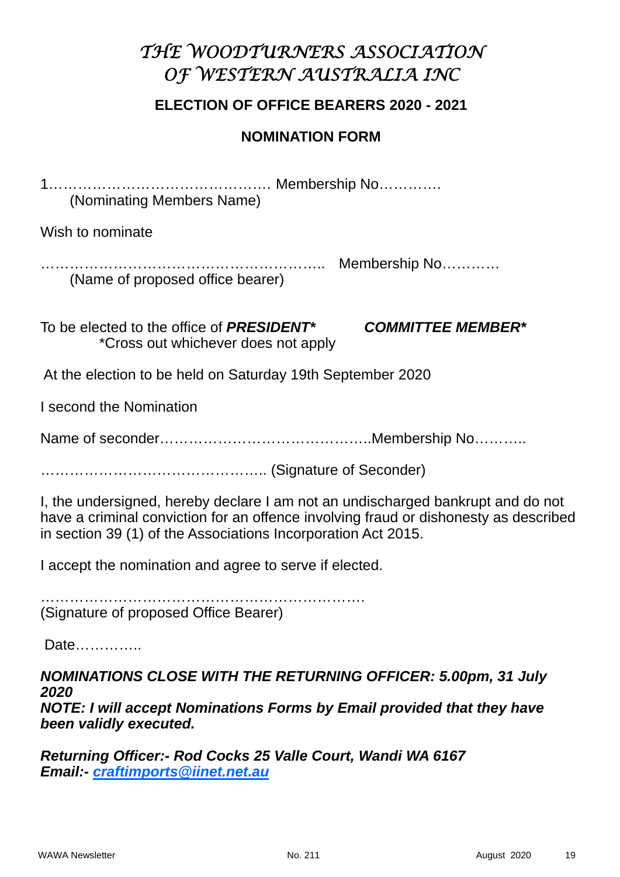## *THE WOODTURNERS ASSOCIATION OF WESTERN AUSTRALIA INC*

#### **ELECTION OF OFFICE BEARERS 2020 - 2021**

#### **NOMINATION FORM**

1………………………………………. Membership No…………. (Nominating Members Name)

Wish to nominate

………………………………………………….. Membership No………… (Name of proposed office bearer)

To be elected to the office of *PRESIDENT\* COMMITTEE MEMBER\** \*Cross out whichever does not apply

At the election to be held on Saturday 19th September 2020

I second the Nomination

Name of seconder………………………………………………Membership No…………

……………………………………….. (Signature of Seconder)

I, the undersigned, hereby declare I am not an undischarged bankrupt and do not have a criminal conviction for an offence involving fraud or dishonesty as described in section 39 (1) of the Associations Incorporation Act 2015.

I accept the nomination and agree to serve if elected.

…………………………………………………………. (Signature of proposed Office Bearer)

Date…………..

*NOMINATIONS CLOSE WITH THE RETURNING OFFICER: 5.00pm, 31 July 2020 NOTE: I will accept Nominations Forms by Email provided that they have been validly executed.* 

*Returning Officer:- Rod Cocks 25 Valle Court, Wandi WA 6167 Email:- craftimports@iinet.net.au*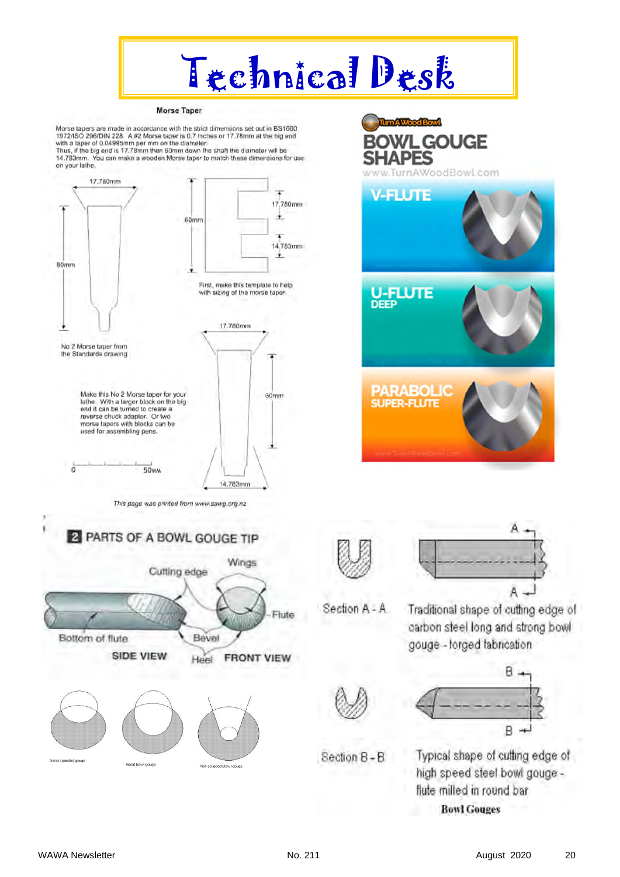

#### **Morse Taper**

Morse tapers are made in accordance with the strict dimensions set out in BS1660.<br>1972/ISO 296/DIN 228. A #2 Morse taper is 0.7 Inches or 17.78mm at the big end with a taper of 0.04995mm per mm on the diameter.<br>Thus, if the big end is 17.78mm then 60mm down the shaft the diameter will be The system. You can make a wooden Morse taper to match these dimensions for use<br>on your lathe.





ItunAWood Bowl





Section A - A

Traditional shape of cutting edge of carbon steel long and strong bowl gouge - lorged fabrication





Section B-B

Typical shape of cutting edge of high speed steel bowl gouge flute milled in round bar **Bowl Gouges** 

Detail (spindle) goug

Good bowl opune

Not-so-good Bowl gouge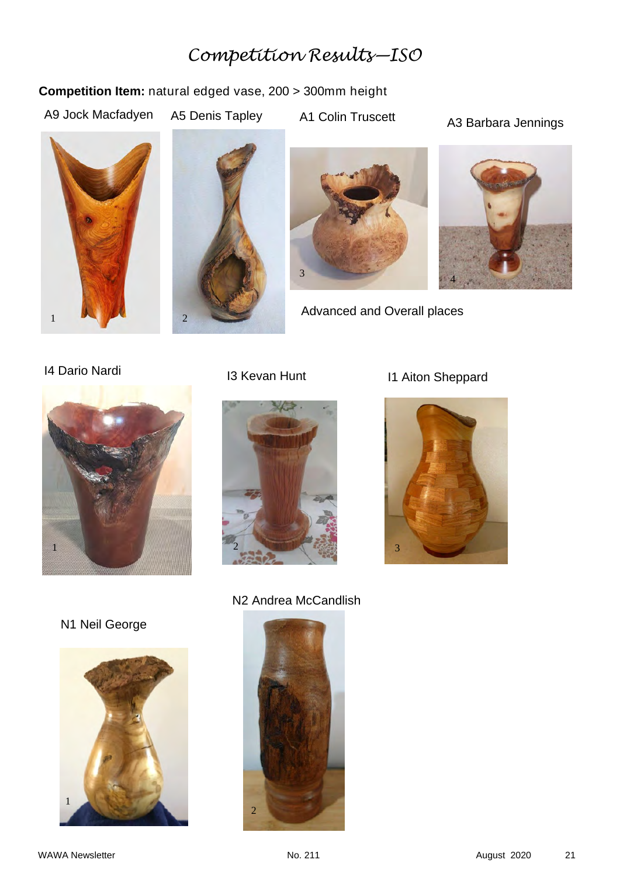## *Competition Results—ISO*

#### **Competition Item:** natural edged vase, 200 > 300mm height

A9 Jock Macfadyen

A5 Denis Tapley A1 Colin Truscett A3 Barbara Jennings







Advanced and Overall places







## I4 Dario Nardi **I3 Kevan Hunt** I1 Aiton Sheppard



N1 Neil George



N2 Andrea McCandlish

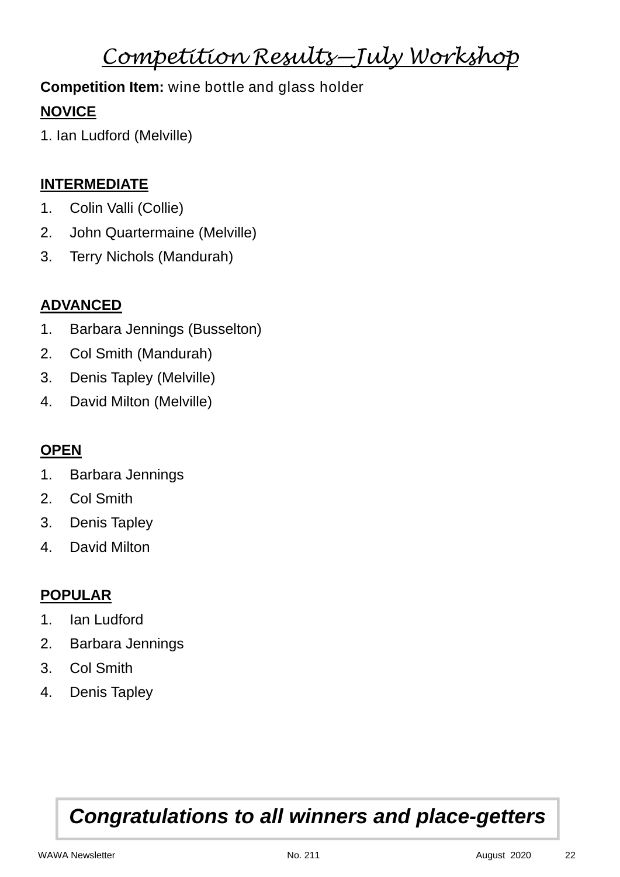## *Competition Results—July Workshop*

## **Competition Item:** wine bottle and glass holder

## **NOVICE**

1. Ian Ludford (Melville)

#### **INTERMEDIATE**

- 1. Colin Valli (Collie)
- 2. John Quartermaine (Melville)
- 3. Terry Nichols (Mandurah)

### **ADVANCED**

- 1. Barbara Jennings (Busselton)
- 2. Col Smith (Mandurah)
- 3. Denis Tapley (Melville)
- 4. David Milton (Melville)

## **OPEN**

- 1. Barbara Jennings
- 2. Col Smith
- 3. Denis Tapley
- 4. David Milton

### **POPULAR**

- 1. Ian Ludford
- 2. Barbara Jennings
- 3. Col Smith
- 4. Denis Tapley

## *Congratulations to all winners and place-getters*